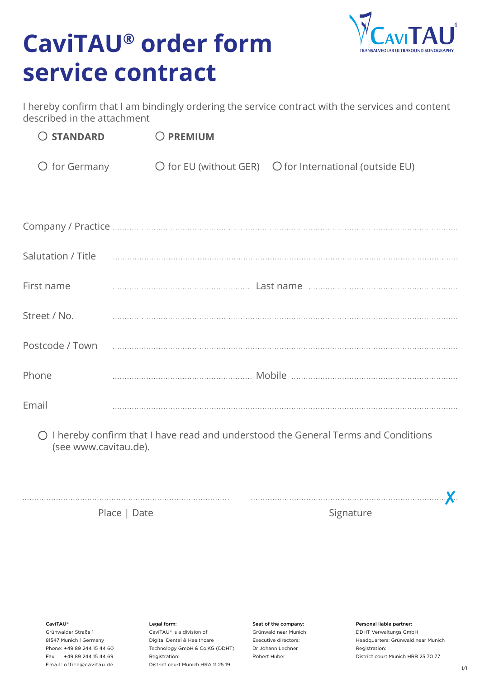## **CaviTAU® order form service contract**



I hereby confirm that I am bindingly ordering the service contract with the services and content described in the attachment

| $O$ STANDARD           | O PREMIUM |                                                                           |
|------------------------|-----------|---------------------------------------------------------------------------|
| $\bigcirc$ for Germany |           | $\bigcirc$ for EU (without GER) $\bigcirc$ for International (outside EU) |

| First name   |  |
|--------------|--|
| Street / No. |  |
|              |  |
| Phone        |  |
| Email        |  |

I hereby confirm that I have read and understood the General Terms and Conditions (see www.cavitau.de).

. . . . . . . . . . . . . . . . .

Place | Date Signature Signature Signature

CaviTAU®

Grünwalder Straße 1 81547 Munich | Germany Phone: +49 89 244 15 44 60 Fax: +49 89 244 15 44 69 Email: office@cavitau.de

Legal form:

CaviTAU® is a division of Digital Dental & Healthcare Technology GmbH & Co.KG (DDHT) Registration: District court Munich HRA 11 25 19

Seat of the company: Grünwald near Munich Executive directors: Dr Johann Lechner Robert Huber

Personal liable partner:

DDHT Verwaltungs GmbH Headquarters: Grünwald near Munich Registration: District court Munich HRB 25 70 77

✘